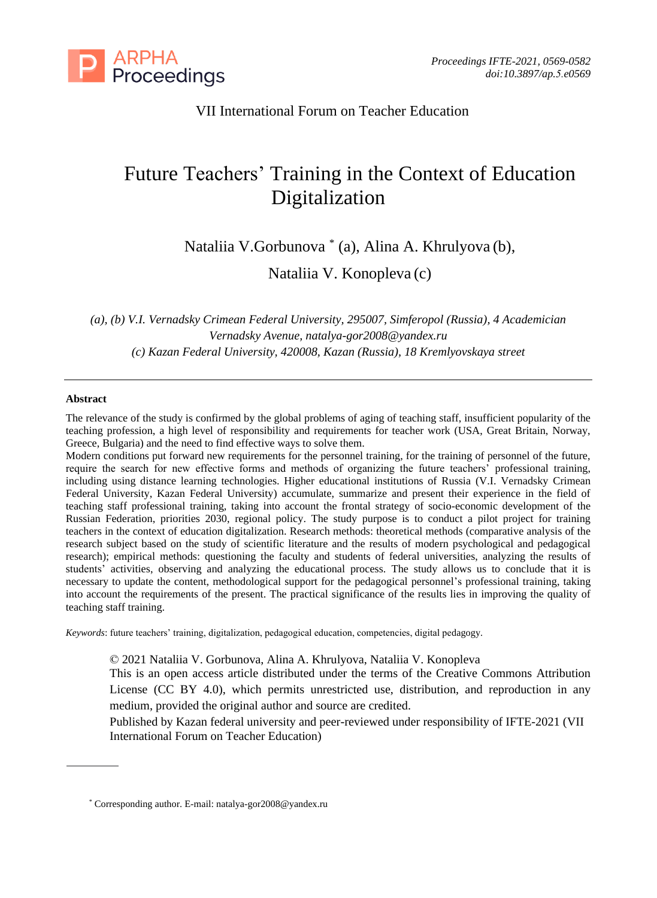

# VII International Forum on Teacher Education

# Future Teachers' Training in the Context of Education Digitalization

Nataliia V.Gorbunova \* (a), Alina A. Khrulyova (b),

Nataliia V. Konopleva (c)

*(a), (b) V.I. Vernadsky Crimean Federal University, 295007, Simferopol (Russia), 4 Academician Vernadsky Avenue, [natalya-gor2008@yandex.ru](mailto:natalya-gor2008@yandex.ru) (c) Kazan Federal University, 420008, Kazan (Russia), 18 Kremlyovskaya street*

#### **Abstract**

The relevance of the study is confirmed by the global problems of aging of teaching staff, insufficient popularity of the teaching profession, a high level of responsibility and requirements for teacher work (USA, Great Britain, Norway, Greece, Bulgaria) and the need to find effective ways to solve them.

Modern conditions put forward new requirements for the personnel training, for the training of personnel of the future, require the search for new effective forms and methods of organizing the future teachers' professional training, including using distance learning technologies. Higher educational institutions of Russia (V.I. Vernadsky Crimean Federal University, Kazan Federal University) accumulate, summarize and present their experience in the field of teaching staff professional training, taking into account the frontal strategy of socio-economic development of the Russian Federation, priorities 2030, regional policy. The study purpose is to conduct a pilot project for training teachers in the context of education digitalization. Research methods: theoretical methods (comparative analysis of the research subject based on the study of scientific literature and the results of modern psychological and pedagogical research); empirical methods: questioning the faculty and students of federal universities, analyzing the results of students' activities, observing and analyzing the educational process. The study allows us to conclude that it is necessary to update the content, methodological support for the pedagogical personnel's professional training, taking into account the requirements of the present. The practical significance of the results lies in improving the quality of teaching staff training.

*Keywords*: future teachers' training, digitalization, pedagogical education, competencies, digital pedagogy.

© 2021 Nataliia V. Gorbunova, Alina A. Khrulyova, Nataliia V. Konopleva

This is an open access article distributed under the terms of the Creative Commons Attribution License (CC BY 4.0), which permits unrestricted use, distribution, and reproduction in any medium, provided the original author and source are credited.

Published by Kazan federal university and peer-reviewed under responsibility of IFTE-2021 (VII International Forum on Teacher Education)

<sup>\*</sup> Corresponding author. E-mail: natalya-gor2008@yandex.ru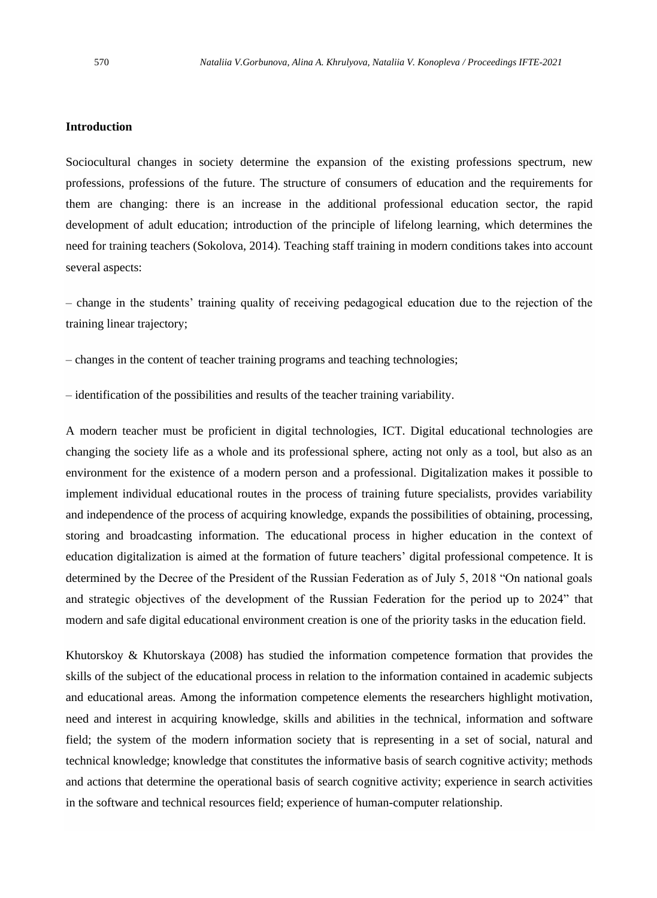## **Introduction**

Sociocultural changes in society determine the expansion of the existing professions spectrum, new professions, professions of the future. The structure of consumers of education and the requirements for them are changing: there is an increase in the additional professional education sector, the rapid development of adult education; introduction of the principle of lifelong learning, which determines the need for training teachers (Sokolova, 2014). Teaching staff training in modern conditions takes into account several aspects:

– change in the students' training quality of receiving pedagogical education due to the rejection of the training linear trajectory;

– changes in the content of teacher training programs and teaching technologies;

– identification of the possibilities and results of the teacher training variability.

A modern teacher must be proficient in digital technologies, ICT. Digital educational technologies are changing the society life as a whole and its professional sphere, acting not only as a tool, but also as an environment for the existence of a modern person and a professional. Digitalization makes it possible to implement individual educational routes in the process of training future specialists, provides variability and independence of the process of acquiring knowledge, expands the possibilities of obtaining, processing, storing and broadcasting information. The educational process in higher education in the context of education digitalization is aimed at the formation of future teachers' digital professional competence. It is determined by the Decree of the President of the Russian Federation as of July 5, 2018 "On national goals and strategic objectives of the development of the Russian Federation for the period up to 2024" that modern and safe digital educational environment creation is one of the priority tasks in the education field.

Khutorskoy & Khutorskaya (2008) has studied the information competence formation that provides the skills of the subject of the educational process in relation to the information contained in academic subjects and educational areas. Among the information competence elements the researchers highlight motivation, need and interest in acquiring knowledge, skills and abilities in the technical, information and software field; the system of the modern information society that is representing in a set of social, natural and technical knowledge; knowledge that constitutes the informative basis of search cognitive activity; methods and actions that determine the operational basis of search cognitive activity; experience in search activities in the software and technical resources field; experience of human-computer relationship.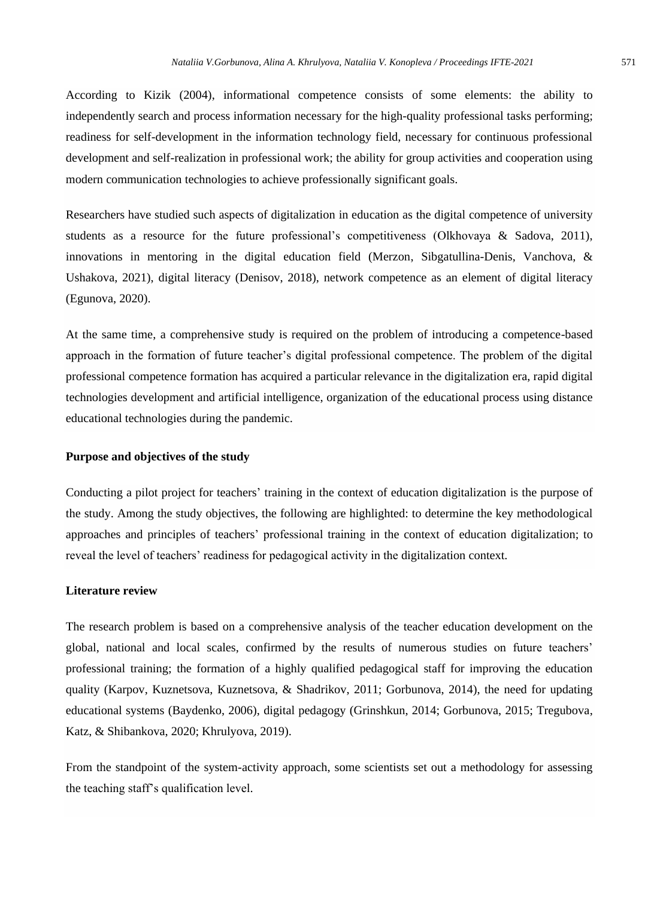According to Kizik (2004), informational competence consists of some elements: the ability to independently search and process information necessary for the high-quality professional tasks performing; readiness for self-development in the information technology field, necessary for continuous professional development and self-realization in professional work; the ability for group activities and cooperation using modern communication technologies to achieve professionally significant goals.

Researchers have studied such aspects of digitalization in education as the digital competence of university students as a resource for the future professional's competitiveness (Olkhovaya & Sadova, 2011), innovations in mentoring in the digital education field (Merzon, Sibgatullina-Denis, Vanchova, & Ushakova, 2021), digital literacy (Denisov, 2018), network competence as an element of digital literacy (Egunova, 2020).

At the same time, a comprehensive study is required on the problem of introducing a competence-based approach in the formation of future teacher's digital professional competence. The problem of the digital professional competence formation has acquired a particular relevance in the digitalization era, rapid digital technologies development and artificial intelligence, organization of the educational process using distance educational technologies during the pandemic.

# **Purpose and objectives of the study**

Conducting a pilot project for teachers' training in the context of education digitalization is the purpose of the study. Among the study objectives, the following are highlighted: to determine the key methodological approaches and principles of teachers' professional training in the context of education digitalization; to reveal the level of teachers' readiness for pedagogical activity in the digitalization context.

#### **Literature review**

The research problem is based on a comprehensive analysis of the teacher education development on the global, national and local scales, confirmed by the results of numerous studies on future teachers' professional training; the formation of a highly qualified pedagogical staff for improving the education quality (Karpov, Kuznetsova, Kuznetsova, & Shadrikov, 2011; Gorbunova, 2014), the need for updating educational systems (Baydenko, 2006), digital pedagogy (Grinshkun, 2014; Gorbunova, 2015; Tregubova, Katz, & Shibankova, 2020; Khrulyova, 2019).

From the standpoint of the system-activity approach, some scientists set out a methodology for assessing the teaching staff's qualification level.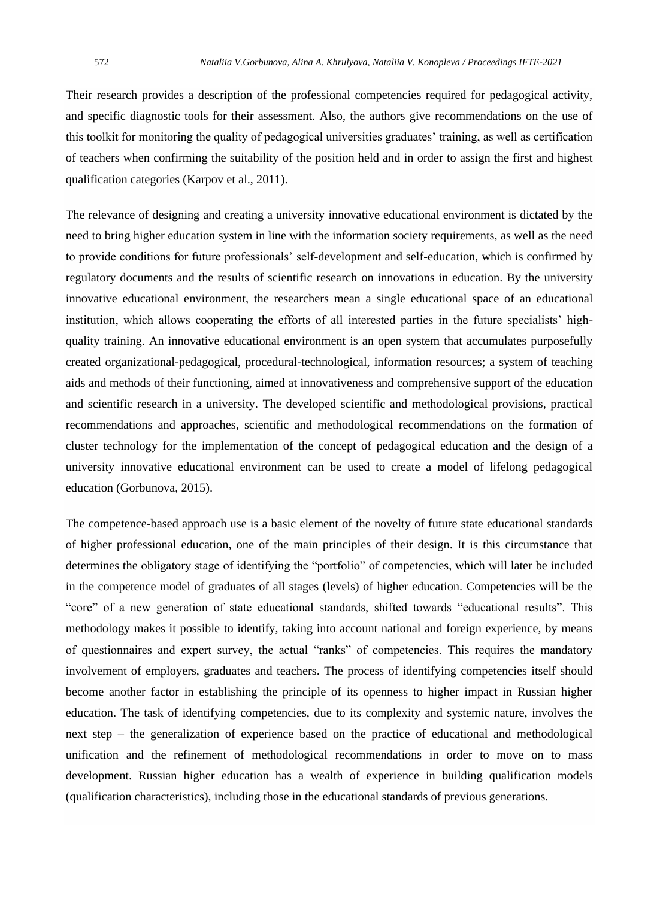Their research provides a description of the professional competencies required for pedagogical activity, and specific diagnostic tools for their assessment. Also, the authors give recommendations on the use of this toolkit for monitoring the quality of pedagogical universities graduates' training, as well as certification of teachers when confirming the suitability of the position held and in order to assign the first and highest qualification categories (Karpov et al., 2011).

The relevance of designing and creating a university innovative educational environment is dictated by the need to bring higher education system in line with the information society requirements, as well as the need to provide conditions for future professionals' self-development and self-education, which is confirmed by regulatory documents and the results of scientific research on innovations in education. By the university innovative educational environment, the researchers mean a single educational space of an educational institution, which allows cooperating the efforts of all interested parties in the future specialists' highquality training. An innovative educational environment is an open system that accumulates purposefully created organizational-pedagogical, procedural-technological, information resources; a system of teaching aids and methods of their functioning, aimed at innovativeness and comprehensive support of the education and scientific research in a university. The developed scientific and methodological provisions, practical recommendations and approaches, scientific and methodological recommendations on the formation of cluster technology for the implementation of the concept of pedagogical education and the design of a university innovative educational environment can be used to create a model of lifelong pedagogical education (Gorbunova, 2015).

The competence-based approach use is a basic element of the novelty of future state educational standards of higher professional education, one of the main principles of their design. It is this circumstance that determines the obligatory stage of identifying the "portfolio" of competencies, which will later be included in the competence model of graduates of all stages (levels) of higher education. Competencies will be the "core" of a new generation of state educational standards, shifted towards "educational results". This methodology makes it possible to identify, taking into account national and foreign experience, by means of questionnaires and expert survey, the actual "ranks" of competencies. This requires the mandatory involvement of employers, graduates and teachers. The process of identifying competencies itself should become another factor in establishing the principle of its openness to higher impact in Russian higher education. The task of identifying competencies, due to its complexity and systemic nature, involves the next step – the generalization of experience based on the practice of educational and methodological unification and the refinement of methodological recommendations in order to move on to mass development. Russian higher education has a wealth of experience in building qualification models (qualification characteristics), including those in the educational standards of previous generations.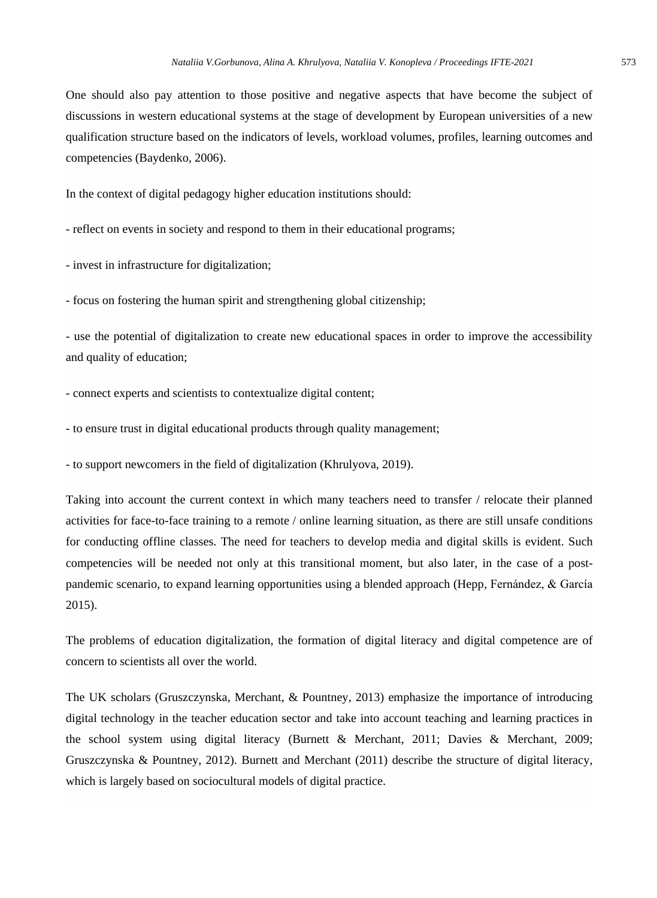One should also pay attention to those positive and negative aspects that have become the subject of discussions in western educational systems at the stage of development by European universities of a new qualification structure based on the indicators of levels, workload volumes, profiles, learning outcomes and competencies (Baydenko, 2006).

In the context of digital pedagogy higher education institutions should:

- reflect on events in society and respond to them in their educational programs;

- invest in infrastructure for digitalization;

- focus on fostering the human spirit and strengthening global citizenship;

- use the potential of digitalization to create new educational spaces in order to improve the accessibility and quality of education;

- connect experts and scientists to contextualize digital content;

- to ensure trust in digital educational products through quality management;

- to support newcomers in the field of digitalization (Khrulyova, 2019).

Taking into account the current context in which many teachers need to transfer / relocate their planned activities for face-to-face training to a remote / online learning situation, as there are still unsafe conditions for conducting offline classes. The need for teachers to develop media and digital skills is evident. Such competencies will be needed not only at this transitional moment, but also later, in the case of a postpandemic scenario, to expand learning opportunities using a blended approach (Hepp, Fernández, & García 2015).

The problems of education digitalization, the formation of digital literacy and digital competence are of concern to scientists all over the world.

The UK scholars (Gruszczynska, Merchant, & Pountney, 2013) emphasize the importance of introducing digital technology in the teacher education sector and take into account teaching and learning practices in the school system using digital literacy (Burnett & Merchant, 2011; Davies & Merchant, 2009; Gruszczynska & Pountney, 2012). Burnett and Merchant (2011) describe the structure of digital literacy, which is largely based on sociocultural models of digital practice.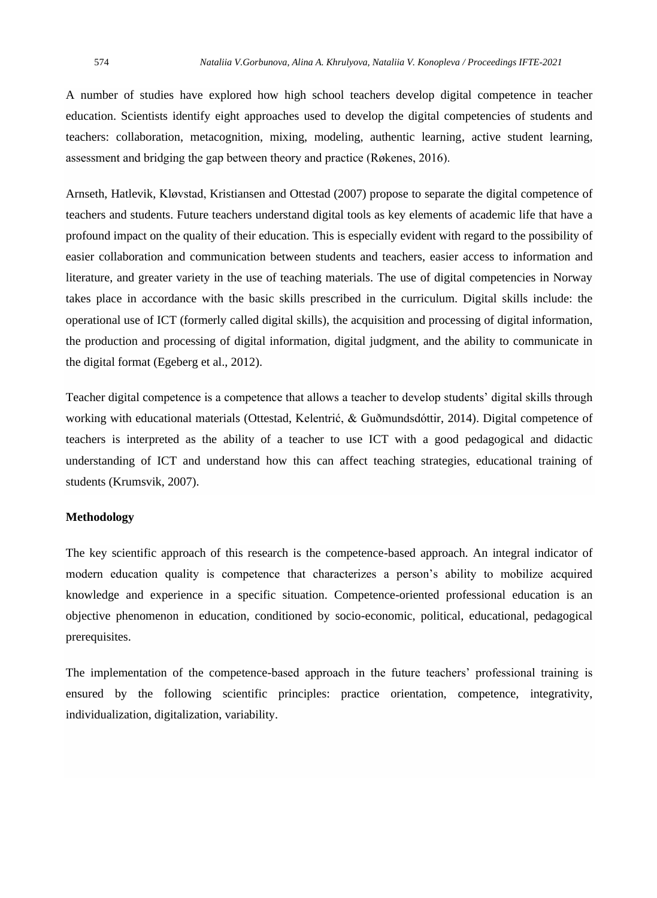A number of studies have explored how high school teachers develop digital competence in teacher education. Scientists identify eight approaches used to develop the digital competencies of students and teachers: collaboration, metacognition, mixing, modeling, authentic learning, active student learning, assessment and bridging the gap between theory and practice (Røkenes, 2016).

Arnseth, Hatlevik, Kløvstad, Kristiansen and Ottestad (2007) propose to separate the digital competence of teachers and students. Future teachers understand digital tools as key elements of academic life that have a profound impact on the quality of their education. This is especially evident with regard to the possibility of easier collaboration and communication between students and teachers, easier access to information and literature, and greater variety in the use of teaching materials. The use of digital competencies in Norway takes place in accordance with the basic skills prescribed in the curriculum. Digital skills include: the operational use of ICT (formerly called digital skills), the acquisition and processing of digital information, the production and processing of digital information, digital judgment, and the ability to communicate in the digital format (Egeberg et al., 2012).

Teacher digital competence is a competence that allows a teacher to develop students' digital skills through working with educational materials (Ottestad, Kelentrić, & Guðmundsdóttir, 2014). Digital competence of teachers is interpreted as the ability of a teacher to use ICT with a good pedagogical and didactic understanding of ICT and understand how this can affect teaching strategies, educational training of students (Krumsvik, 2007).

#### **Methodology**

The key scientific approach of this research is the competence-based approach. An integral indicator of modern education quality is competence that characterizes a person's ability to mobilize acquired knowledge and experience in a specific situation. Competence-oriented professional education is an objective phenomenon in education, conditioned by socio-economic, political, educational, pedagogical prerequisites.

The implementation of the competence-based approach in the future teachers' professional training is ensured by the following scientific principles: practice orientation, competence, integrativity, individualization, digitalization, variability.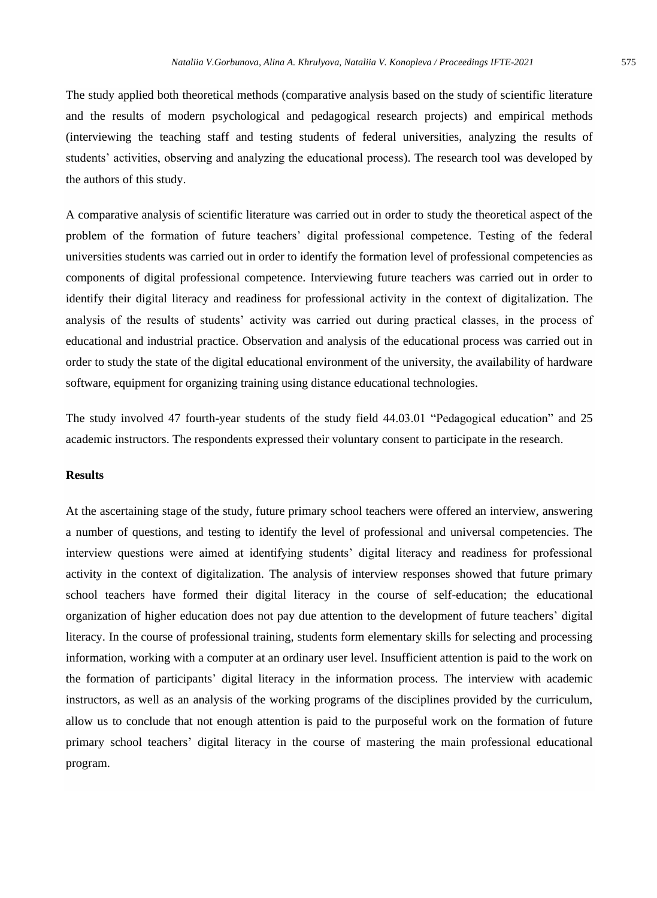The study applied both theoretical methods (comparative analysis based on the study of scientific literature and the results of modern psychological and pedagogical research projects) and empirical methods (interviewing the teaching staff and testing students of federal universities, analyzing the results of students' activities, observing and analyzing the educational process). The research tool was developed by the authors of this study.

A comparative analysis of scientific literature was carried out in order to study the theoretical aspect of the problem of the formation of future teachers' digital professional competence. Testing of the federal universities students was carried out in order to identify the formation level of professional competencies as components of digital professional competence. Interviewing future teachers was carried out in order to identify their digital literacy and readiness for professional activity in the context of digitalization. The analysis of the results of students' activity was carried out during practical classes, in the process of educational and industrial practice. Observation and analysis of the educational process was carried out in order to study the state of the digital educational environment of the university, the availability of hardware software, equipment for organizing training using distance educational technologies.

The study involved 47 fourth-year students of the study field 44.03.01 "Pedagogical education" and 25 academic instructors. The respondents expressed their voluntary consent to participate in the research.

#### **Results**

At the ascertaining stage of the study, future primary school teachers were offered an interview, answering a number of questions, and testing to identify the level of professional and universal competencies. The interview questions were aimed at identifying students' digital literacy and readiness for professional activity in the context of digitalization. The analysis of interview responses showed that future primary school teachers have formed their digital literacy in the course of self-education; the educational organization of higher education does not pay due attention to the development of future teachers' digital literacy. In the course of professional training, students form elementary skills for selecting and processing information, working with a computer at an ordinary user level. Insufficient attention is paid to the work on the formation of participants' digital literacy in the information process. The interview with academic instructors, as well as an analysis of the working programs of the disciplines provided by the curriculum, allow us to conclude that not enough attention is paid to the purposeful work on the formation of future primary school teachers' digital literacy in the course of mastering the main professional educational program.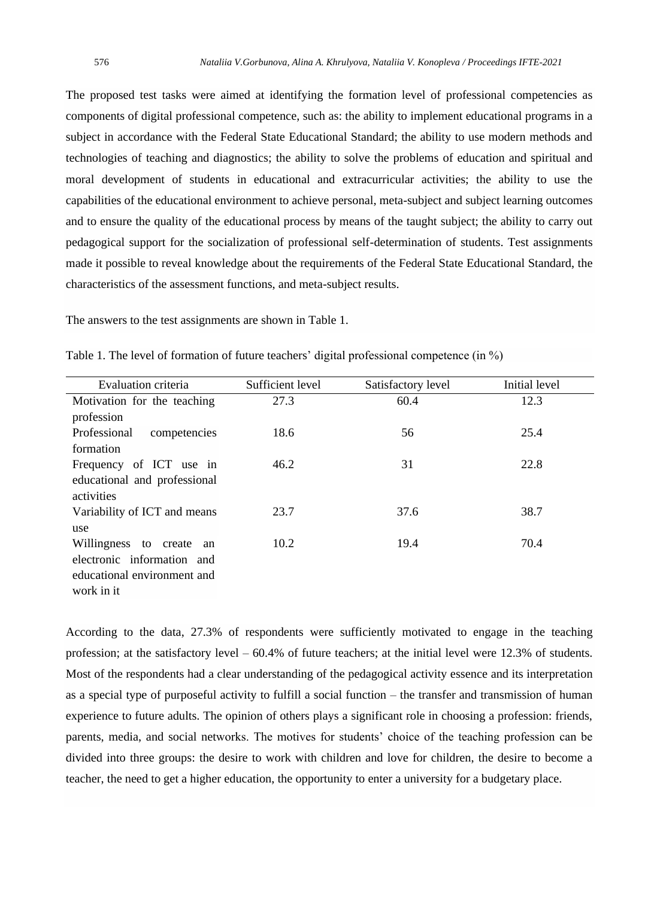The proposed test tasks were aimed at identifying the formation level of professional competencies as components of digital professional competence, such as: the ability to implement educational programs in a subject in accordance with the Federal State Educational Standard; the ability to use modern methods and technologies of teaching and diagnostics; the ability to solve the problems of education and spiritual and moral development of students in educational and extracurricular activities; the ability to use the capabilities of the educational environment to achieve personal, meta-subject and subject learning outcomes and to ensure the quality of the educational process by means of the taught subject; the ability to carry out pedagogical support for the socialization of professional self-determination of students. Test assignments made it possible to reveal knowledge about the requirements of the Federal State Educational Standard, the characteristics of the assessment functions, and meta-subject results.

The answers to the test assignments are shown in Table 1.

| Evaluation criteria          | Sufficient level | Satisfactory level | Initial level |
|------------------------------|------------------|--------------------|---------------|
| Motivation for the teaching  | 27.3             | 60.4               | 12.3          |
| profession                   |                  |                    |               |
| Professional<br>competencies | 18.6             | 56                 | 25.4          |
| formation                    |                  |                    |               |
| Frequency of ICT use in      | 46.2             | 31                 | 22.8          |
| educational and professional |                  |                    |               |
| activities                   |                  |                    |               |
| Variability of ICT and means | 23.7             | 37.6               | 38.7          |
| use                          |                  |                    |               |
| Willingness to create<br>an  | 10.2             | 19.4               | 70.4          |
| electronic information and   |                  |                    |               |
| educational environment and  |                  |                    |               |
| work in it                   |                  |                    |               |

Table 1. The level of formation of future teachers' digital professional competence (in %)

According to the data, 27.3% of respondents were sufficiently motivated to engage in the teaching profession; at the satisfactory level – 60.4% of future teachers; at the initial level were 12.3% of students. Most of the respondents had a clear understanding of the pedagogical activity essence and its interpretation as a special type of purposeful activity to fulfill a social function – the transfer and transmission of human experience to future adults. The opinion of others plays a significant role in choosing a profession: friends, parents, media, and social networks. The motives for students' choice of the teaching profession can be divided into three groups: the desire to work with children and love for children, the desire to become a teacher, the need to get a higher education, the opportunity to enter a university for a budgetary place.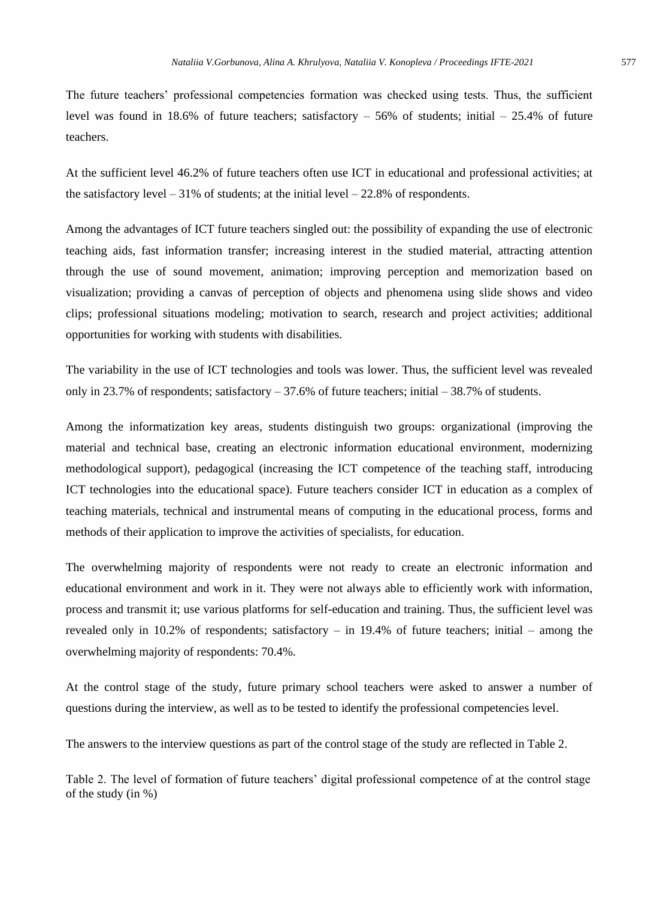The future teachers' professional competencies formation was checked using tests. Thus, the sufficient level was found in 18.6% of future teachers; satisfactory – 56% of students; initial – 25.4% of future teachers.

At the sufficient level 46.2% of future teachers often use ICT in educational and professional activities; at the satisfactory level  $-31\%$  of students; at the initial level  $-22.8\%$  of respondents.

Among the advantages of ICT future teachers singled out: the possibility of expanding the use of electronic teaching aids, fast information transfer; increasing interest in the studied material, attracting attention through the use of sound movement, animation; improving perception and memorization based on visualization; providing a canvas of perception of objects and phenomena using slide shows and video clips; professional situations modeling; motivation to search, research and project activities; additional opportunities for working with students with disabilities.

The variability in the use of ICT technologies and tools was lower. Thus, the sufficient level was revealed only in 23.7% of respondents; satisfactory – 37.6% of future teachers; initial – 38.7% of students.

Among the informatization key areas, students distinguish two groups: organizational (improving the material and technical base, creating an electronic information educational environment, modernizing methodological support), pedagogical (increasing the ICT competence of the teaching staff, introducing ICT technologies into the educational space). Future teachers consider ICT in education as a complex of teaching materials, technical and instrumental means of computing in the educational process, forms and methods of their application to improve the activities of specialists, for education.

The overwhelming majority of respondents were not ready to create an electronic information and educational environment and work in it. They were not always able to efficiently work with information, process and transmit it; use various platforms for self-education and training. Thus, the sufficient level was revealed only in 10.2% of respondents; satisfactory – in 19.4% of future teachers; initial – among the overwhelming majority of respondents: 70.4%.

At the control stage of the study, future primary school teachers were asked to answer a number of questions during the interview, as well as to be tested to identify the professional competencies level.

The answers to the interview questions as part of the control stage of the study are reflected in Table 2.

Table 2. The level of formation of future teachers' digital professional competence of at the control stage of the study (in %)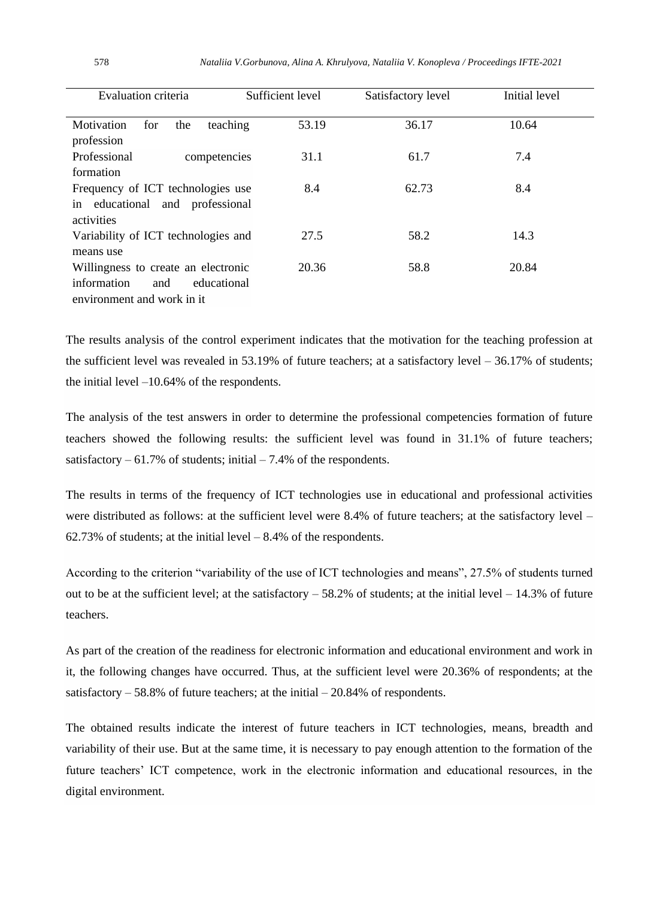| Evaluation criteria                                                                                    | Sufficient level | Satisfactory level | Initial level |
|--------------------------------------------------------------------------------------------------------|------------------|--------------------|---------------|
| Motivation<br>for<br>teaching<br>the<br>profession                                                     | 53.19            | 36.17              | 10.64         |
| Professional<br>competencies<br>formation                                                              | 31.1             | 61.7               | 7.4           |
| Frequency of ICT technologies use<br>in educational and professional<br>activities                     | 8.4              | 62.73              | 8.4           |
| Variability of ICT technologies and<br>means use                                                       | 27.5             | 58.2               | 14.3          |
| Willingness to create an electronic<br>information<br>educational<br>and<br>environment and work in it | 20.36            | 58.8               | 20.84         |

The results analysis of the control experiment indicates that the motivation for the teaching profession at the sufficient level was revealed in 53.19% of future teachers; at a satisfactory level  $-36.17\%$  of students; the initial level –10.64% of the respondents.

The analysis of the test answers in order to determine the professional competencies formation of future teachers showed the following results: the sufficient level was found in 31.1% of future teachers; satisfactory  $-61.7\%$  of students; initial  $-7.4\%$  of the respondents.

The results in terms of the frequency of ICT technologies use in educational and professional activities were distributed as follows: at the sufficient level were 8.4% of future teachers; at the satisfactory level –  $62.73\%$  of students; at the initial level  $-8.4\%$  of the respondents.

According to the criterion "variability of the use of ICT technologies and means", 27.5% of students turned out to be at the sufficient level; at the satisfactory  $-58.2\%$  of students; at the initial level  $-14.3\%$  of future teachers.

As part of the creation of the readiness for electronic information and educational environment and work in it, the following changes have occurred. Thus, at the sufficient level were 20.36% of respondents; at the satisfactory  $-58.8\%$  of future teachers; at the initial  $-20.84\%$  of respondents.

The obtained results indicate the interest of future teachers in ICT technologies, means, breadth and variability of their use. But at the same time, it is necessary to pay enough attention to the formation of the future teachers' ICT competence, work in the electronic information and educational resources, in the digital environment.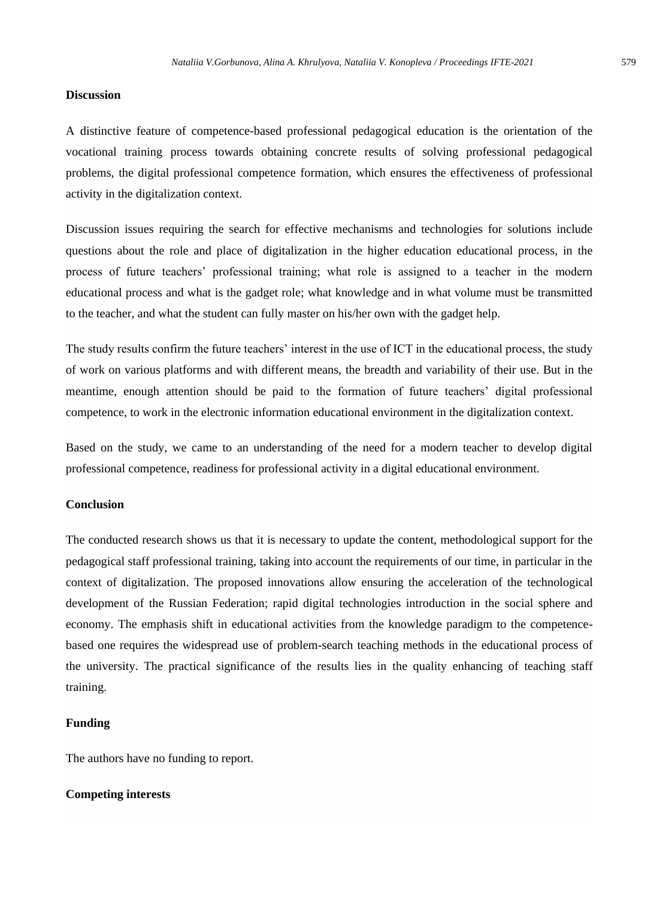#### **Discussion**

A distinctive feature of competence-based professional pedagogical education is the orientation of the vocational training process towards obtaining concrete results of solving professional pedagogical problems, the digital professional competence formation, which ensures the effectiveness of professional activity in the digitalization context.

Discussion issues requiring the search for effective mechanisms and technologies for solutions include questions about the role and place of digitalization in the higher education educational process, in the process of future teachers' professional training; what role is assigned to a teacher in the modern educational process and what is the gadget role; what knowledge and in what volume must be transmitted to the teacher, and what the student can fully master on his/her own with the gadget help.

The study results confirm the future teachers' interest in the use of ICT in the educational process, the study of work on various platforms and with different means, the breadth and variability of their use. But in the meantime, enough attention should be paid to the formation of future teachers' digital professional competence, to work in the electronic information educational environment in the digitalization context.

Based on the study, we came to an understanding of the need for a modern teacher to develop digital professional competence, readiness for professional activity in a digital educational environment.

# **Conclusion**

The conducted research shows us that it is necessary to update the content, methodological support for the pedagogical staff professional training, taking into account the requirements of our time, in particular in the context of digitalization. The proposed innovations allow ensuring the acceleration of the technological development of the Russian Federation; rapid digital technologies introduction in the social sphere and economy. The emphasis shift in educational activities from the knowledge paradigm to the competencebased one requires the widespread use of problem-search teaching methods in the educational process of the university. The practical significance of the results lies in the quality enhancing of teaching staff training.

#### **Funding**

The authors have no funding to report.

#### **Competing interests**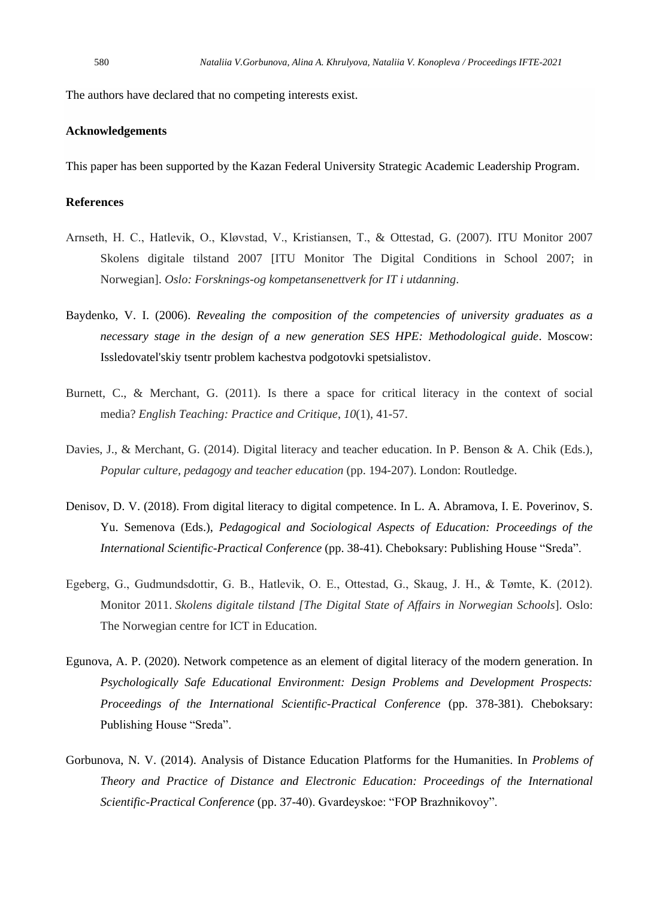The authors have declared that no competing interests exist.

#### **Acknowledgements**

This paper has been supported by the Kazan Federal University Strategic Academic Leadership Program.

# **References**

- Arnseth, H. C., Hatlevik, O., Kløvstad, V., Kristiansen, T., & Ottestad, G. (2007). ITU Monitor 2007 Skolens digitale tilstand 2007 [ITU Monitor The Digital Conditions in School 2007; in Norwegian]. *Oslo: Forsknings-og kompetansenettverk for IT i utdanning*.
- Baydenko, V. I. (2006). *Revealing the composition of the competencies of university graduates as a necessary stage in the design of a new generation SES HPE: Methodological guide*. Moscow: Issledovatel'skiy tsentr problem kachestva podgotovki spetsialistov.
- Burnett, C., & Merchant, G. (2011). Is there a space for critical literacy in the context of social media? *English Teaching: Practice and Critique*, *10*(1), 41-57.
- Davies, J., & Merchant, G. (2014). Digital literacy and teacher education. In P. Benson & A. Chik (Eds.), *Popular culture, pedagogy and teacher education* (pp. 194-207). London: Routledge.
- Denisov, D. V. (2018). From digital literacy to digital competence. In L. A. Abramova, I. E. Poverinov, S. Yu. Semenova (Eds.), *Pedagogical and Sociological Aspects of Education: Proceedings of the International Scientific-Practical Conference* (pp. 38-41). Cheboksary: Publishing House "Sreda".
- Egeberg, G., Gudmundsdottir, G. B., Hatlevik, O. E., Ottestad, G., Skaug, J. H., & Tømte, K. (2012). Monitor 2011. *Skolens digitale tilstand [The Digital State of Affairs in Norwegian Schools*]. Oslo: The Norwegian centre for ICT in Education.
- Egunova, A. P. (2020). Network competence as an element of digital literacy of the modern generation. In *Psychologically Safe Educational Environment: Design Problems and Development Prospects: Proceedings of the International Scientific-Practical Conference* (pp. 378-381). Cheboksary: Publishing House "Sreda".
- Gorbunova, N. V. (2014). Analysis of Distance Education Platforms for the Humanities. In *Problems of Theory and Practice of Distance and Electronic Education: Proceedings of the International Scientific-Practical Conference* (pp. 37-40). Gvardeyskoe: "FOP Brazhnikovoy".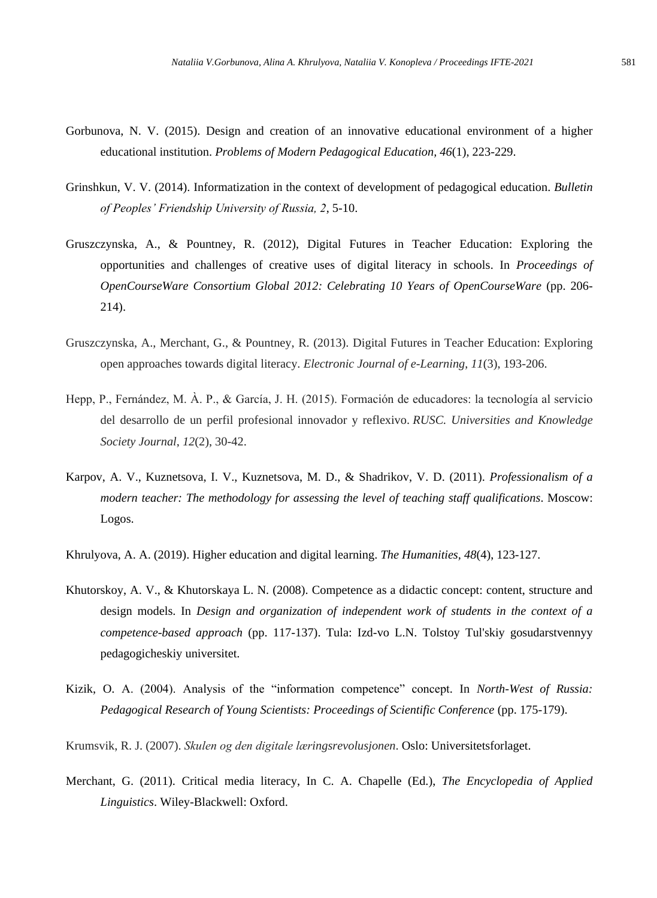- Gorbunova, N. V. (2015). Design and creation of an innovative educational environment of a higher educational institution. *Problems of Modern Pedagogical Education, 46*(1), 223-229.
- Grinshkun, V. V. (2014). Informatization in the context of development of pedagogical education. *Bulletin of Peoples' Friendship University of Russia, 2*, 5-10.
- Gruszczynska, A., & Pountney, R. (2012), Digital Futures in Teacher Education: Exploring the opportunities and challenges of creative uses of digital literacy in schools. In *Proceedings of OpenCourseWare Consortium Global 2012: Celebrating 10 Years of OpenCourseWare* (pp. 206- 214).
- Gruszczynska, A., Merchant, G., & Pountney, R. (2013). Digital Futures in Teacher Education: Exploring open approaches towards digital literacy. *Electronic Journal of e-Learning*, *11*(3), 193-206.
- Hepp, P., Fernández, M. À. P., & García, J. H. (2015). Formación de educadores: la tecnología al servicio del desarrollo de un perfil profesional innovador y reflexivo. *RUSC. Universities and Knowledge Society Journal*, *12*(2), 30-42.
- Karpov, A. V., Kuznetsova, I. V., Kuznetsova, M. D., & Shadrikov, V. D. (2011). *Professionalism of a modern teacher: The methodology for assessing the level of teaching staff qualifications*. Moscow: Logos.
- Khrulyova, A. A. (2019). Higher education and digital learning. *The Humanities, 48*(4), 123-127.
- Khutorskoy, A. V., & Khutorskaya L. N. (2008). Competence as a didactic concept: content, structure and design models. In *Design and organization of independent work of students in the context of a competence-based approach* (pp. 117-137). Tula: Izd-vo L.N. Tolstoy Tul'skiy gosudarstvennyy pedagogicheskiy universitet.
- Kizik, O. A. (2004). Analysis of the "information competence" concept. In *North-West of Russia: Pedagogical Research of Young Scientists: Proceedings of Scientific Conference* (pp. 175-179).
- Krumsvik, R. J. (2007). *Skulen og den digitale læringsrevolusjonen*. Oslo: Universitetsforlaget.
- Merchant, G. (2011). Critical media literacy, In C. A. Chapelle (Ed.), *The Encyclopedia of Applied Linguistics*. Wiley-Blackwell: Oxford.